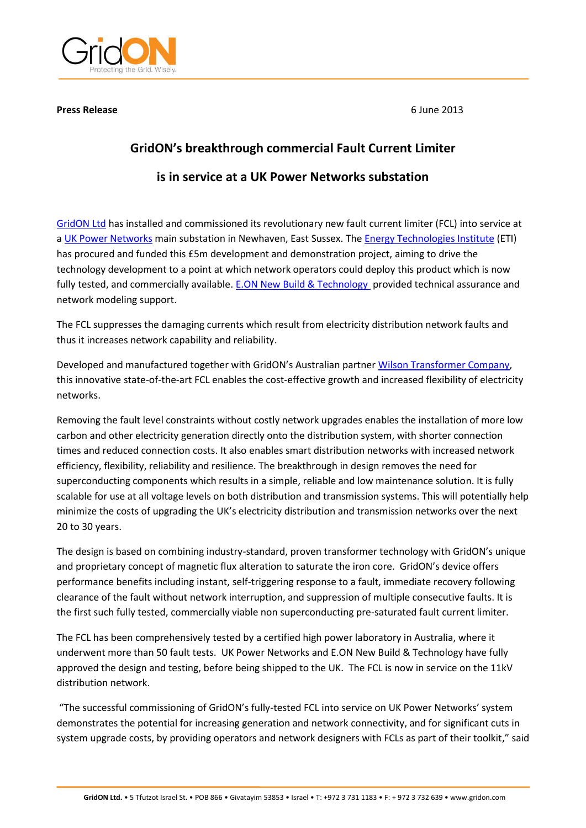

#### **Press Release**

6 June 2013

# **GridON's breakthrough commercial Fault Current Limiter**

## is in service at a UK Power Networks substation

GridON Ltd has installed and commissioned its revolutionary new fault current limiter (FCL) into service at a UK Power Networks main substation in Newhaven, East Sussex. The Energy Technologies Institute (ETI) has procured and funded this £5m development and demonstration project, aiming to drive the technology development to a point at which network operators could deploy this product which is now fully tested, and commercially available. E.ON New Build & Technology provided technical assurance and network modeling support.

The FCL suppresses the damaging currents which result from electricity distribution network faults and thus it increases network capability and reliability.

Developed and manufactured together with GridON's Australian partner Wilson Transformer Company, this innovative state-of-the-art FCL enables the cost-effective growth and increased flexibility of electricity networks.

Removing the fault level constraints without costly network upgrades enables the installation of more low carbon and other electricity generation directly onto the distribution system, with shorter connection times and reduced connection costs. It also enables smart distribution networks with increased network efficiency, flexibility, reliability and resilience. The breakthrough in design removes the need for superconducting components which results in a simple, reliable and low maintenance solution. It is fully scalable for use at all voltage levels on both distribution and transmission systems. This will potentially help minimize the costs of upgrading the UK's electricity distribution and transmission networks over the next 20 to 30 years.

The design is based on combining industry-standard, proven transformer technology with GridON's unique and proprietary concept of magnetic flux alteration to saturate the iron core. GridON's device offers performance benefits including instant, self-triggering response to a fault, immediate recovery following clearance of the fault without network interruption, and suppression of multiple consecutive faults. It is the first such fully tested, commercially viable non superconducting pre-saturated fault current limiter.

The FCL has been comprehensively tested by a certified high power laboratory in Australia, where it underwent more than 50 fault tests. UK Power Networks and E.ON New Build & Technology have fully approved the design and testing, before being shipped to the UK. The FCL is now in service on the 11kV distribution network.

"The successful commissioning of GridON's fully-tested FCL into service on UK Power Networks' system demonstrates the potential for increasing generation and network connectivity, and for significant cuts in system upgrade costs, by providing operators and network designers with FCLs as part of their toolkit," said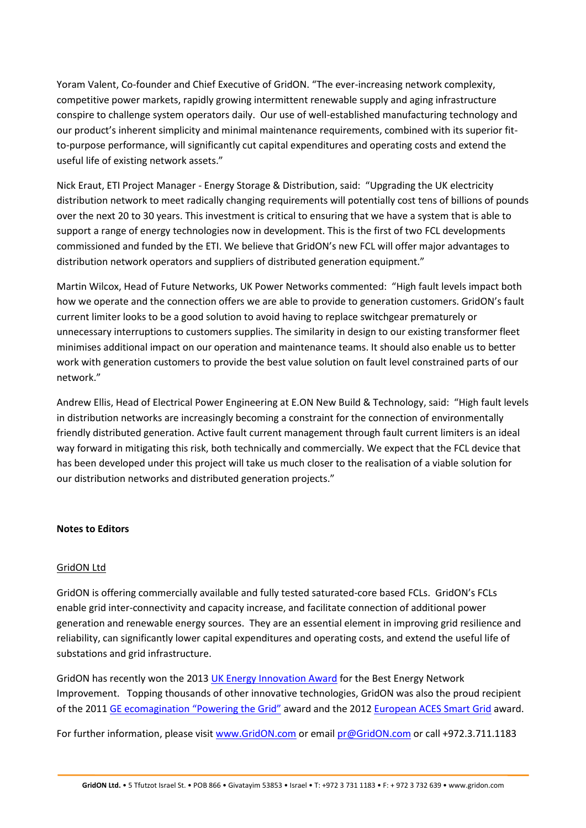Yoram Valent, Co-founder and Chief Executive of GridON. "The ever-increasing network complexity, competitive power markets, rapidly growing intermittent renewable supply and aging infrastructure conspire to challenge system operators daily. Our use of well-established manufacturing technology and our product's inherent simplicity and minimal maintenance requirements, combined with its superior fitto-purpose performance, will significantly cut capital expenditures and operating costs and extend the useful life of existing network assets."

Nick Eraut, ETI Project Manager - Energy Storage & Distribution, said: "Upgrading the UK electricity distribution network to meet radically changing requirements will potentially cost tens of billions of pounds over the next 20 to 30 years. This investment is critical to ensuring that we have a system that is able to support a range of energy technologies now in development. This is the first of two FCL developments commissioned and funded by the ETI. We believe that GridON's new FCL will offer major advantages to distribution network operators and suppliers of distributed generation equipment."

Martin Wilcox, Head of Future Networks, UK Power Networks commented: "High fault levels impact both how we operate and the connection offers we are able to provide to generation customers. GridON's fault current limiter looks to be a good solution to avoid having to replace switchgear prematurely or unnecessary interruptions to customers supplies. The similarity in design to our existing transformer fleet minimises additional impact on our operation and maintenance teams. It should also enable us to better work with generation customers to provide the best value solution on fault level constrained parts of our network."

Andrew Ellis, Head of Electrical Power Engineering at E.ON New Build & Technology, said: "High fault levels in distribution networks are increasingly becoming a constraint for the connection of environmentally friendly distributed generation. Active fault current management through fault current limiters is an ideal way forward in mitigating this risk, both technically and commercially. We expect that the FCL device that has been developed under this project will take us much closer to the realisation of a viable solution for our distribution networks and distributed generation projects."

#### **Notes to Editors**

## **GridON Ltd**

GridON is offering commercially available and fully tested saturated-core based FCLs. GridON's FCLs enable grid inter-connectivity and capacity increase, and facilitate connection of additional power generation and renewable energy sources. They are an essential element in improving grid resilience and reliability, can significantly lower capital expenditures and operating costs, and extend the useful life of substations and grid infrastructure.

GridON has recently won the 2013 UK Energy Innovation Award for the Best Energy Network Improvement. Topping thousands of other innovative technologies, GridON was also the proud recipient of the 2011 GE ecomagination "Powering the Grid" award and the 2012 European ACES Smart Grid award.

For further information, please visit www.GridON.com or email pr@GridON.com or call +972.3.711.1183